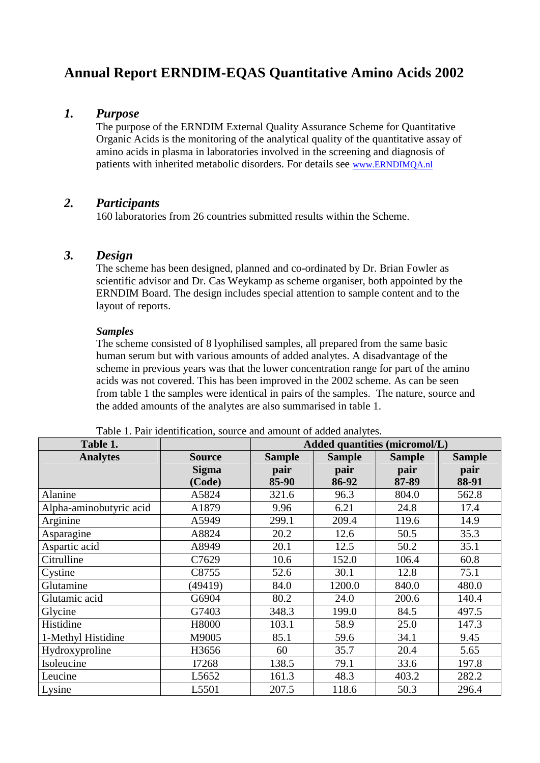# **Annual Report ERNDIM-EQAS Quantitative Amino Acids 2002**

### *1. Purpose*

The purpose of the ERNDIM External Quality Assurance Scheme for Quantitative Organic Acids is the monitoring of the analytical quality of the quantitative assay of amino acids in plasma in laboratories involved in the screening and diagnosis of patients with inherited metabolic disorders. For details see www.ERNDIMQA.nl

### *2. Participants*

160 laboratories from 26 countries submitted results within the Scheme.

### *3. Design*

The scheme has been designed, planned and co-ordinated by Dr. Brian Fowler as scientific advisor and Dr. Cas Weykamp as scheme organiser, both appointed by the ERNDIM Board. The design includes special attention to sample content and to the layout of reports.

#### *Samples*

The scheme consisted of 8 lyophilised samples, all prepared from the same basic human serum but with various amounts of added analytes. A disadvantage of the scheme in previous years was that the lower concentration range for part of the amino acids was not covered. This has been improved in the 2002 scheme. As can be seen from table 1 the samples were identical in pairs of the samples. The nature, source and the added amounts of the analytes are also summarised in table 1.

| Table 1.                | <b>Added quantities (micromol/L)</b> |               |               |               |               |  |
|-------------------------|--------------------------------------|---------------|---------------|---------------|---------------|--|
| <b>Analytes</b>         | <b>Source</b>                        | <b>Sample</b> | <b>Sample</b> | <b>Sample</b> | <b>Sample</b> |  |
|                         | <b>Sigma</b>                         | pair          | pair          | pair          | pair          |  |
|                         | (Code)                               | 85-90         | 86-92         | 87-89         | 88-91         |  |
| Alanine                 | A5824                                | 321.6         | 96.3          | 804.0         | 562.8         |  |
| Alpha-aminobutyric acid | A1879                                | 9.96          | 6.21          | 24.8          | 17.4          |  |
| Arginine                | A5949                                | 299.1         | 209.4         | 119.6         | 14.9          |  |
| Asparagine              | A8824                                | 20.2          | 12.6          | 50.5          | 35.3          |  |
| Aspartic acid           | A8949                                | 20.1          | 12.5          | 50.2          | 35.1          |  |
| Citrulline              | C7629                                | 10.6          | 152.0         | 106.4         | 60.8          |  |
| Cystine                 | C8755                                | 52.6          | 30.1          | 12.8          | 75.1          |  |
| Glutamine               | (49419)                              | 84.0          | 1200.0        | 840.0         | 480.0         |  |
| Glutamic acid           | G6904                                | 80.2          | 24.0          | 200.6         | 140.4         |  |
| Glycine                 | G7403                                | 348.3         | 199.0         | 84.5          | 497.5         |  |
| Histidine               | H8000                                | 103.1         | 58.9          | 25.0          | 147.3         |  |
| 1-Methyl Histidine      | M9005                                | 85.1          | 59.6          | 34.1          | 9.45          |  |
| Hydroxyproline          | H3656                                | 60            | 35.7          | 20.4          | 5.65          |  |
| Isoleucine              | I7268                                | 138.5         | 79.1          | 33.6          | 197.8         |  |
| Leucine                 | L5652                                | 161.3         | 48.3          | 403.2         | 282.2         |  |
| Lysine                  | L5501                                | 207.5         | 118.6         | 50.3          | 296.4         |  |

Table 1. Pair identification, source and amount of added analytes.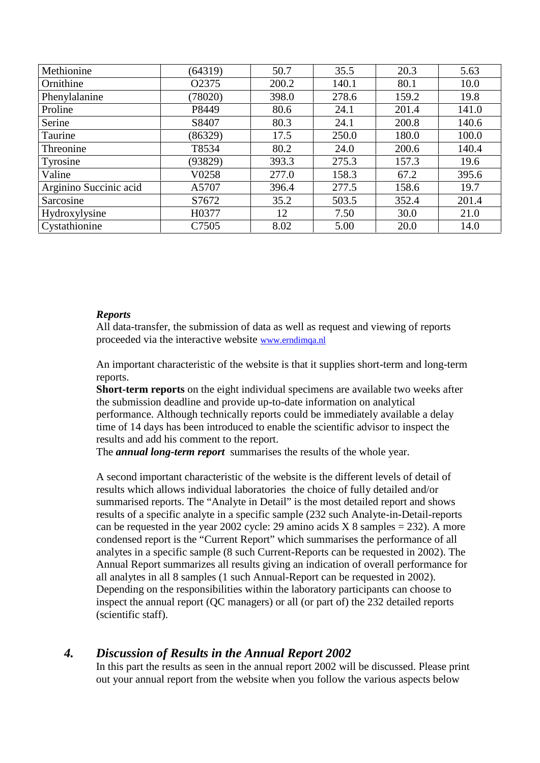| Methionine             | (64319)            | 50.7  | 35.5  | 20.3  | 5.63  |
|------------------------|--------------------|-------|-------|-------|-------|
| Ornithine              | O2375              | 200.2 | 140.1 | 80.1  | 10.0  |
| Phenylalanine          | (78020)            | 398.0 | 278.6 | 159.2 | 19.8  |
| Proline                | P8449              | 80.6  | 24.1  | 201.4 | 141.0 |
| Serine                 | S8407              | 80.3  | 24.1  | 200.8 | 140.6 |
| Taurine                | (86329)            | 17.5  | 250.0 | 180.0 | 100.0 |
| Threonine              | T8534              | 80.2  | 24.0  | 200.6 | 140.4 |
| Tyrosine               | (93829)            | 393.3 | 275.3 | 157.3 | 19.6  |
| Valine                 | V <sub>0</sub> 258 | 277.0 | 158.3 | 67.2  | 395.6 |
| Arginino Succinic acid | A5707              | 396.4 | 277.5 | 158.6 | 19.7  |
| Sarcosine              | S7672              | 35.2  | 503.5 | 352.4 | 201.4 |
| Hydroxylysine          | H0377              | 12    | 7.50  | 30.0  | 21.0  |
| Cystathionine          | C7505              | 8.02  | 5.00  | 20.0  | 14.0  |

#### *Reports*

All data-transfer, the submission of data as well as request and viewing of reports proceeded via the interactive website www.erndimqa.nl

An important characteristic of the website is that it supplies short-term and long-term reports.

**Short-term reports** on the eight individual specimens are available two weeks after the submission deadline and provide up-to-date information on analytical performance. Although technically reports could be immediately available a delay time of 14 days has been introduced to enable the scientific advisor to inspect the results and add his comment to the report.

The *annual long-term report* summarises the results of the whole year.

A second important characteristic of the website is the different levels of detail of results which allows individual laboratories the choice of fully detailed and/or summarised reports. The "Analyte in Detail" is the most detailed report and shows results of a specific analyte in a specific sample (232 such Analyte-in-Detail-reports can be requested in the year 2002 cycle: 29 amino acids  $X$  8 samples = 232). A more condensed report is the "Current Report" which summarises the performance of all analytes in a specific sample (8 such Current-Reports can be requested in 2002). The Annual Report summarizes all results giving an indication of overall performance for all analytes in all 8 samples (1 such Annual-Report can be requested in 2002). Depending on the responsibilities within the laboratory participants can choose to inspect the annual report (QC managers) or all (or part of) the 232 detailed reports (scientific staff).

### *4. Discussion of Results in the Annual Report 2002*

In this part the results as seen in the annual report 2002 will be discussed. Please print out your annual report from the website when you follow the various aspects below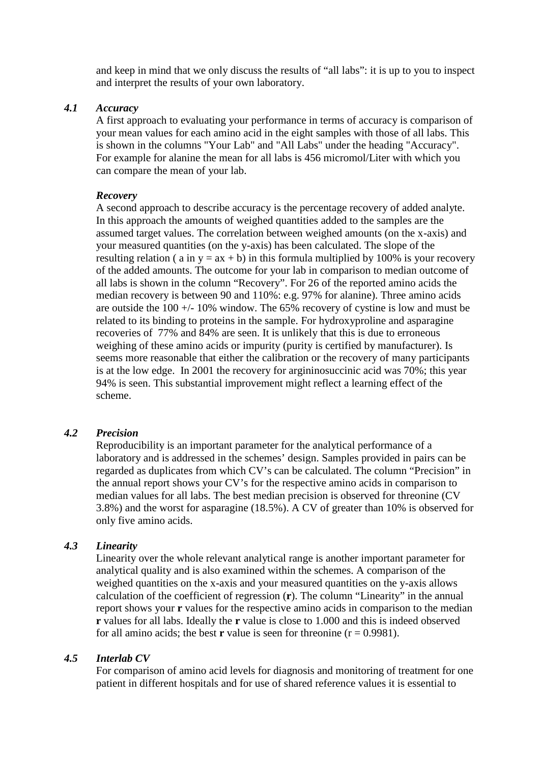and keep in mind that we only discuss the results of "all labs": it is up to you to inspect and interpret the results of your own laboratory.

#### *4.1 Accuracy*

A first approach to evaluating your performance in terms of accuracy is comparison of your mean values for each amino acid in the eight samples with those of all labs. This is shown in the columns "Your Lab" and "All Labs" under the heading "Accuracy". For example for alanine the mean for all labs is 456 micromol/Liter with which you can compare the mean of your lab.

#### *Recovery*

A second approach to describe accuracy is the percentage recovery of added analyte. In this approach the amounts of weighed quantities added to the samples are the assumed target values. The correlation between weighed amounts (on the x-axis) and your measured quantities (on the y-axis) has been calculated. The slope of the resulting relation ( a in  $y = ax + b$ ) in this formula multiplied by 100% is your recovery of the added amounts. The outcome for your lab in comparison to median outcome of all labs is shown in the column "Recovery". For 26 of the reported amino acids the median recovery is between 90 and 110%: e.g. 97% for alanine). Three amino acids are outside the 100 +/- 10% window. The 65% recovery of cystine is low and must be related to its binding to proteins in the sample. For hydroxyproline and asparagine recoveries of 77% and 84% are seen. It is unlikely that this is due to erroneous weighing of these amino acids or impurity (purity is certified by manufacturer). Is seems more reasonable that either the calibration or the recovery of many participants is at the low edge. In 2001 the recovery for argininosuccinic acid was 70%; this year 94% is seen. This substantial improvement might reflect a learning effect of the scheme.

#### *4.2 Precision*

Reproducibility is an important parameter for the analytical performance of a laboratory and is addressed in the schemes' design. Samples provided in pairs can be regarded as duplicates from which CV's can be calculated. The column "Precision" in the annual report shows your CV's for the respective amino acids in comparison to median values for all labs. The best median precision is observed for threonine (CV 3.8%) and the worst for asparagine (18.5%). A CV of greater than 10% is observed for only five amino acids.

#### *4.3 Linearity*

Linearity over the whole relevant analytical range is another important parameter for analytical quality and is also examined within the schemes. A comparison of the weighed quantities on the x-axis and your measured quantities on the y-axis allows calculation of the coefficient of regression (**r**). The column "Linearity" in the annual report shows your **r** values for the respective amino acids in comparison to the median **r** values for all labs. Ideally the **r** value is close to 1.000 and this is indeed observed for all amino acids; the best **r** value is seen for threonine  $(r = 0.9981)$ .

#### *4.5 Interlab CV*

For comparison of amino acid levels for diagnosis and monitoring of treatment for one patient in different hospitals and for use of shared reference values it is essential to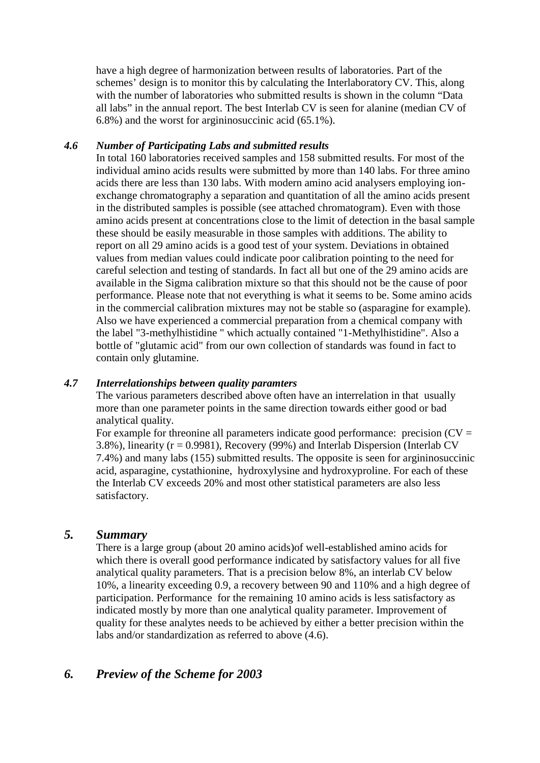have a high degree of harmonization between results of laboratories. Part of the schemes' design is to monitor this by calculating the Interlaboratory CV. This, along with the number of laboratories who submitted results is shown in the column "Data" all labs" in the annual report. The best Interlab CV is seen for alanine (median CV of 6.8%) and the worst for argininosuccinic acid (65.1%).

#### *4.6 Number of Participating Labs and submitted results*

In total 160 laboratories received samples and 158 submitted results. For most of the individual amino acids results were submitted by more than 140 labs. For three amino acids there are less than 130 labs. With modern amino acid analysers employing ion exchange chromatography a separation and quantitation of all the amino acids present in the distributed samples is possible (see attached chromatogram). Even with those amino acids present at concentrations close to the limit of detection in the basal sample these should be easily measurable in those samples with additions. The ability to report on all 29 amino acids is a good test of your system. Deviations in obtained values from median values could indicate poor calibration pointing to the need for careful selection and testing of standards. In fact all but one of the 29 amino acids are available in the Sigma calibration mixture so that this should not be the cause of poor performance. Please note that not everything is what it seems to be. Some amino acids in the commercial calibration mixtures may not be stable so (asparagine for example). Also we have experienced a commercial preparation from a chemical company with the label "3-methylhistidine " which actually contained "1-Methylhistidine". Also a bottle of "glutamic acid" from our own collection of standards was found in fact to contain only glutamine.

#### *4.7 Interrelationships between quality paramters*

The various parameters described above often have an interrelation in that usually more than one parameter points in the same direction towards either good or bad analytical quality.

For example for threonine all parameters indicate good performance: precision  $(CV =$ 3.8%), linearity (r = 0.9981), Recovery (99%) and Interlab Dispersion (Interlab CV 7.4%) and many labs (155) submitted results. The opposite is seen for argininosuccinic acid, asparagine, cystathionine, hydroxylysine and hydroxyproline. For each of these the Interlab CV exceeds 20% and most other statistical parameters are also less satisfactory.

#### *5. Summary*

There is a large group (about 20 amino acids)of well-established amino acids for which there is overall good performance indicated by satisfactory values for all five analytical quality parameters. That is a precision below 8%, an interlab CV below 10%, a linearity exceeding 0.9, a recovery between 90 and 110% and a high degree of participation. Performance for the remaining 10 amino acids is less satisfactory as indicated mostly by more than one analytical quality parameter. Improvement of quality for these analytes needs to be achieved by either a better precision within the labs and/or standardization as referred to above (4.6).

### *6. Preview of the Scheme for 2003*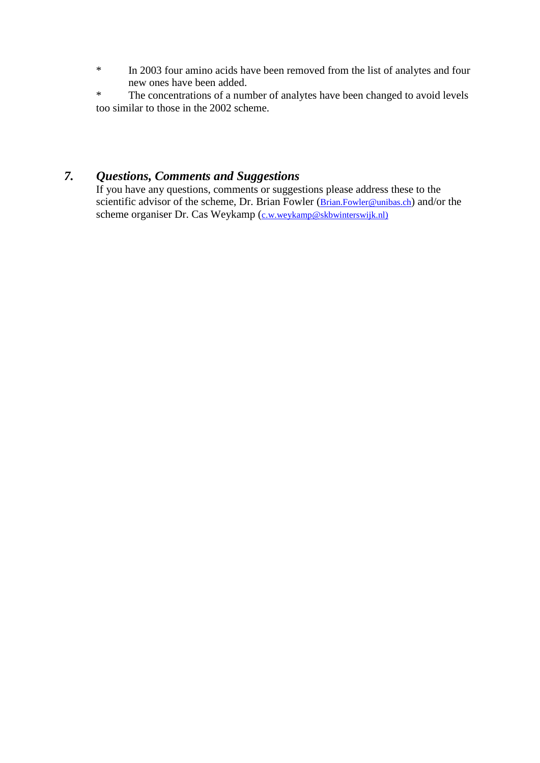\* In 2003 four amino acids have been removed from the list of analytes and four new ones have been added.

\* The concentrations of a number of analytes have been changed to avoid levels too similar to those in the 2002 scheme.

## *7. Questions, Comments and Suggestions*

If you have any questions, comments or suggestions please address these to the scientific advisor of the scheme, Dr. Brian Fowler (Brian.Fowler@unibas.ch) and/or the scheme organiser Dr. Cas Weykamp (c.w.weykamp@skbwinterswijk.nl)